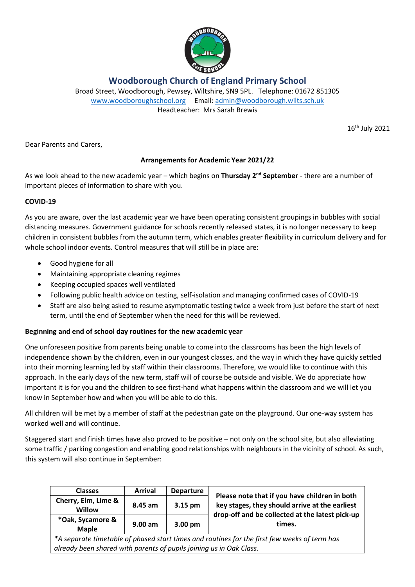

**Woodborough Church of England Primary School**

Broad Street, Woodborough, Pewsey, Wiltshire, SN9 5PL. Telephone: 01672 851305 [www.woodboroughschool.org](http://www.woodboroughschool.org/) Email: [admin@woodborough.wilts.sch.uk](mailto:admin@woodborough.wilts.sch.uk) Headteacher: Mrs Sarah Brewis

16th July 2021

Dear Parents and Carers,

# **Arrangements for Academic Year 2021/22**

As we look ahead to the new academic year – which begins on **Thursday 2nd September** - there are a number of important pieces of information to share with you.

# **COVID-19**

As you are aware, over the last academic year we have been operating consistent groupings in bubbles with social distancing measures. Government guidance for schools recently released states, it is no longer necessary to keep children in consistent bubbles from the autumn term, which enables greater flexibility in curriculum delivery and for whole school indoor events. Control measures that will still be in place are:

- Good hygiene for all
- Maintaining appropriate cleaning regimes
- Keeping occupied spaces well ventilated
- Following public health advice on testing, self-isolation and managing confirmed cases of COVID-19
- Staff are also being asked to resume asymptomatic testing twice a week from just before the start of next term, until the end of September when the need for this will be reviewed.

# **Beginning and end of school day routines for the new academic year**

One unforeseen positive from parents being unable to come into the classrooms has been the high levels of independence shown by the children, even in our youngest classes, and the way in which they have quickly settled into their morning learning led by staff within their classrooms. Therefore, we would like to continue with this approach. In the early days of the new term, staff will of course be outside and visible. We do appreciate how important it is for you and the children to see first-hand what happens within the classroom and we will let you know in September how and when you will be able to do this.

All children will be met by a member of staff at the pedestrian gate on the playground. Our one-way system has worked well and will continue.

Staggered start and finish times have also proved to be positive – not only on the school site, but also alleviating some traffic / parking congestion and enabling good relationships with neighbours in the vicinity of school. As such, this system will also continue in September:

| <b>Classes</b>                                                                               | <b>Arrival</b> | <b>Departure</b> | Please note that if you have children in both<br>key stages, they should arrive at the earliest<br>drop-off and be collected at the latest pick-up<br>times. |
|----------------------------------------------------------------------------------------------|----------------|------------------|--------------------------------------------------------------------------------------------------------------------------------------------------------------|
| Cherry, Elm, Lime &<br><b>Willow</b>                                                         | 8.45 am        | 3.15 pm          |                                                                                                                                                              |
| *Oak, Sycamore &<br><b>Maple</b>                                                             | $9.00$ am      | 3.00 pm          |                                                                                                                                                              |
| *A separate timetable of phased start times and routines for the first few weeks of term has |                |                  |                                                                                                                                                              |

*already been shared with parents of pupils joining us in Oak Class.*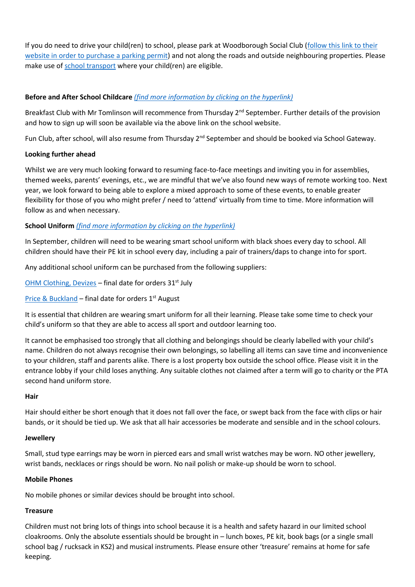If you do need to drive your child(ren) to school, please park at Woodborough Social Club [\(follow this link to their](https://www.woodboroughclub.co.uk/woodborough-school-parking-permit-a)  [website in order to purchase a parking permit\)](https://www.woodboroughclub.co.uk/woodborough-school-parking-permit-a) and not along the roads and outside neighbouring properties. Please make use o[f school transport](https://www.wiltshire.gov.uk/schools-learning-transport) where your child(ren) are eligible.

## **Before and After School Childcare** *[\(find more information by clicking on the hyperlink\)](https://woodboroughschool.org/parents/school-childcare/)*

Breakfast Club with Mr Tomlinson will recommence from Thursday 2<sup>nd</sup> September. Further details of the provision and how to sign up will soon be available via the above link on the school website.

Fun Club, after school, will also resume from Thursday 2<sup>nd</sup> September and should be booked via School Gateway.

### **Looking further ahead**

Whilst we are very much looking forward to resuming face-to-face meetings and inviting you in for assemblies, themed weeks, parents' evenings, etc., we are mindful that we've also found new ways of remote working too. Next year, we look forward to being able to explore a mixed approach to some of these events, to enable greater flexibility for those of you who might prefer / need to 'attend' virtually from time to time. More information will follow as and when necessary.

# **School Uniform** *[\(find more information by clicking on the hyperlink\)](https://woodboroughschool.org/parents/school-uniform/)*

In September, children will need to be wearing smart school uniform with black shoes every day to school. All children should have their PE kit in school every day, including a pair of trainers/daps to change into for sport.

Any additional school uniform can be purchased from the following suppliers:

[OHM Clothing, Devizes](https://ohmclothing.co.uk/shop/schools/primary-schools/woodborough-primary-school/) - final date for orders 31<sup>st</sup> July

[Price & Buckland](https://www.pbuniform-online.co.uk/woodborough) – final date for orders  $1<sup>st</sup>$  August

It is essential that children are wearing smart uniform for all their learning. Please take some time to check your child's uniform so that they are able to access all sport and outdoor learning too.

It cannot be emphasised too strongly that all clothing and belongings should be clearly labelled with your child's name. Children do not always recognise their own belongings, so labelling all items can save time and inconvenience to your children, staff and parents alike. There is a lost property box outside the school office. Please visit it in the entrance lobby if your child loses anything. Any suitable clothes not claimed after a term will go to charity or the PTA second hand uniform store.

#### **Hair**

Hair should either be short enough that it does not fall over the face, or swept back from the face with clips or hair bands, or it should be tied up. We ask that all hair accessories be moderate and sensible and in the school colours.

#### **Jewellery**

Small, stud type earrings may be worn in pierced ears and small wrist watches may be worn. NO other jewellery, wrist bands, necklaces or rings should be worn. No nail polish or make-up should be worn to school.

#### **Mobile Phones**

No mobile phones or similar devices should be brought into school.

#### **Treasure**

Children must not bring lots of things into school because it is a health and safety hazard in our limited school cloakrooms. Only the absolute essentials should be brought in – lunch boxes, PE kit, book bags (or a single small school bag / rucksack in KS2) and musical instruments. Please ensure other 'treasure' remains at home for safe keeping.